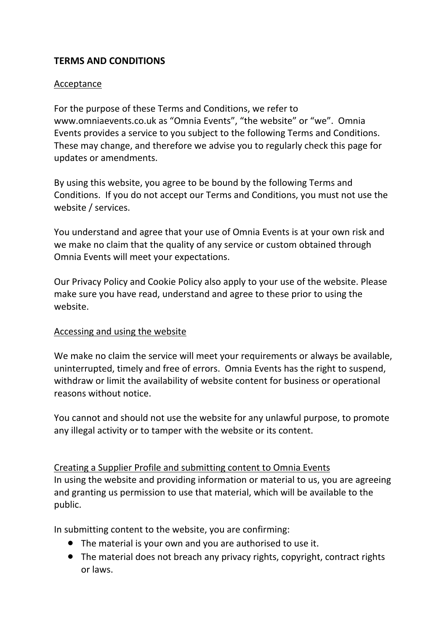# **TERMS AND CONDITIONS**

## Acceptance

For the purpose of these Terms and Conditions, we refer to www.omniaevents.co.uk as "Omnia Events", "the website" or "we". Omnia Events provides a service to you subject to the following Terms and Conditions. These may change, and therefore we advise you to regularly check this page for updates or amendments.

By using this website, you agree to be bound by the following Terms and Conditions. If you do not accept our Terms and Conditions, you must not use the website / services.

You understand and agree that your use of Omnia Events is at your own risk and we make no claim that the quality of any service or custom obtained through Omnia Events will meet your expectations.

Our Privacy Policy and Cookie Policy also apply to your use of the website. Please make sure you have read, understand and agree to these prior to using the website.

### Accessing and using the website

We make no claim the service will meet your requirements or always be available, uninterrupted, timely and free of errors. Omnia Events has the right to suspend, withdraw or limit the availability of website content for business or operational reasons without notice.

You cannot and should not use the website for any unlawful purpose, to promote any illegal activity or to tamper with the website or its content.

Creating a Supplier Profile and submitting content to Omnia Events In using the website and providing information or material to us, you are agreeing and granting us permission to use that material, which will be available to the public.

In submitting content to the website, you are confirming:

- The material is your own and you are authorised to use it.
- The material does not breach any privacy rights, copyright, contract rights or laws.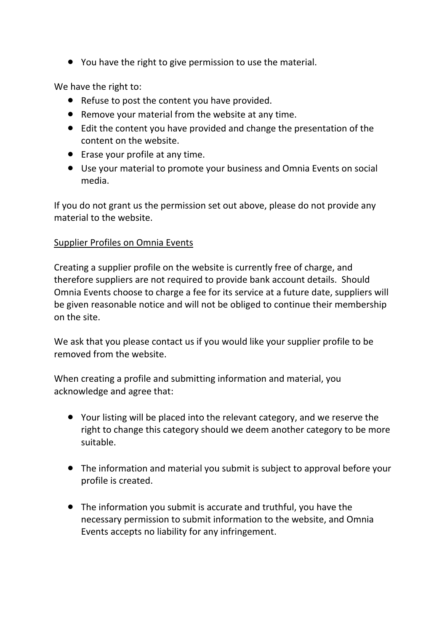● You have the right to give permission to use the material.

We have the right to:

- Refuse to post the content you have provided.
- Remove your material from the website at any time.
- Edit the content you have provided and change the presentation of the content on the website.
- Erase your profile at any time.
- Use your material to promote your business and Omnia Events on social media.

If you do not grant us the permission set out above, please do not provide any material to the website.

## Supplier Profiles on Omnia Events

Creating a supplier profile on the website is currently free of charge, and therefore suppliers are not required to provide bank account details. Should Omnia Events choose to charge a fee for its service at a future date, suppliers will be given reasonable notice and will not be obliged to continue their membership on the site.

We ask that you please contact us if you would like your supplier profile to be removed from the website.

When creating a profile and submitting information and material, you acknowledge and agree that:

- Your listing will be placed into the relevant category, and we reserve the right to change this category should we deem another category to be more suitable.
- The information and material you submit is subject to approval before your profile is created.
- The information you submit is accurate and truthful, you have the necessary permission to submit information to the website, and Omnia Events accepts no liability for any infringement.